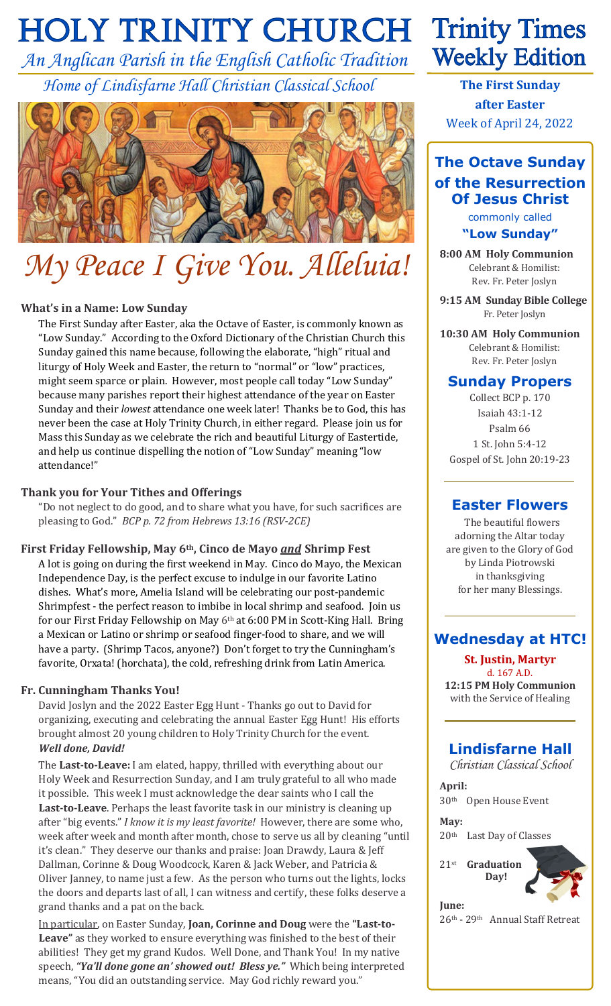# **HOLY TRINITY CHURCH**

*An Anglican Parish in the English Catholic Tradition Home of Lindisfarne Hall Christian Classical School*



# *My Peace I Give You. Alleluia!*

#### **What's in a Name: Low Sunday**

The First Sunday after Easter, aka the Octave of Easter, is commonly known as "Low Sunday." According to the Oxford Dictionary of the Christian Church this Sunday gained this name because, following the elaborate, "high" ritual and liturgy of Holy Week and Easter, the return to "normal" or "low" practices, might seem sparce or plain. However, most people call today "Low Sunday" because many parishes report their highest attendance of the year on Easter Sunday and their *lowest* attendance one week later! Thanks be to God, this has never been the case at Holy Trinity Church, in either regard. Please join us for Mass this Sunday as we celebrate the rich and beautiful Liturgy of Eastertide, and help us continue dispelling the notion of "Low Sunday" meaning "low attendance!"

#### **Thank you for Your Tithes and Offerings**

"Do not neglect to do good, and to share what you have, for such sacrifices are pleasing to God." *BCP p. 72 from Hebrews 13:16 (RSV-2CE)*

**First Friday Fellowship, May 6th, Cinco de Mayo** *and* **Shrimp Fest** A lot is going on during the first weekend in May. Cinco do Mayo, the Mexican Independence Day, is the perfect excuse to indulge in our favorite Latino dishes. What's more, Amelia Island will be celebrating our post-pandemic Shrimpfest - the perfect reason to imbibe in local shrimp and seafood. Join us for our First Friday Fellowship on May 6th at 6:00 PM in Scott-King Hall. Bring a Mexican or Latino or shrimp or seafood finger-food to share, and we will have a party. (Shrimp Tacos, anyone?) Don't forget to try the Cunningham's favorite, Orxata! (horchata), the cold, refreshing drink from Latin America.

#### **Fr. Cunningham Thanks You!**

David Joslyn and the 2022 Easter Egg Hunt - Thanks go out to David for organizing, executing and celebrating the annual Easter Egg Hunt! His efforts brought almost 20 young children to Holy Trinity Church for the event. *Well done, David!* 

The **Last-to-Leave:** I am elated, happy, thrilled with everything about our Holy Week and Resurrection Sunday, and I am truly grateful to all who made it possible. This week I must acknowledge the dear saints who I call the **Last-to-Leave**. Perhaps the least favorite task in our ministry is cleaning up after "big events." *I know it is my least favorite!* However, there are some who, week after week and month after month, chose to serve us all by cleaning "until it's clean." They deserve our thanks and praise: Joan Drawdy, Laura & Jeff Dallman, Corinne & Doug Woodcock, Karen & Jack Weber, and Patricia & Oliver Janney, to name just a few. As the person who turns out the lights, locks the doors and departs last of all, I can witness and certify, these folks deserve a grand thanks and a pat on the back.

In particular, on Easter Sunday, **Joan, Corinne and Doug** were the **"Last-to-Leave"** as they worked to ensure everything was finished to the best of their abilities! They get my grand Kudos. Well Done, and Thank You! In my native speech, *"Ya'll done gone an' showed out! Bless ye."* Which being interpreted means, "You did an outstanding service. May God richly reward you."

# **Trinity Times Weekly Edition**

**The First Sunday after Easter** Week of April 24, 2022

# **The Octave Sunday of the Resurrection Of Jesus Christ**

commonly called **"Low Sunday"**

**8:00 AM Holy Communion** Celebrant & Homilist: Rev. Fr. Peter Joslyn

**9:15 AM Sunday Bible College** Fr. Peter Joslyn

**10:30 AM Holy Communion** Celebrant & Homilist: Rev. Fr. Peter Joslyn

### **Sunday Propers**

Collect BCP p. 170 Isaiah 43:1-12 Psalm 66 1 St. John 5:4-12 Gospel of St. John 20:19-23

#### **Easter Flowers**

 The beautiful flowers adorning the Altar today are given to the Glory of God by Linda Piotrowski in thanksgiving for her many Blessings.

### **Wednesday at HTC!**

**St. Justin, Martyr** d. 167 A.D. **12:15 PM Holy Communion** with the Service of Healing

## **Lindisfarne Hall**

*Christian Classical School*

**April:** 30th Open House Event

**May:** 20th Last Day of Classes

21st **Graduation Day!**

**June:**

26th - 29th Annual Staff Retreat